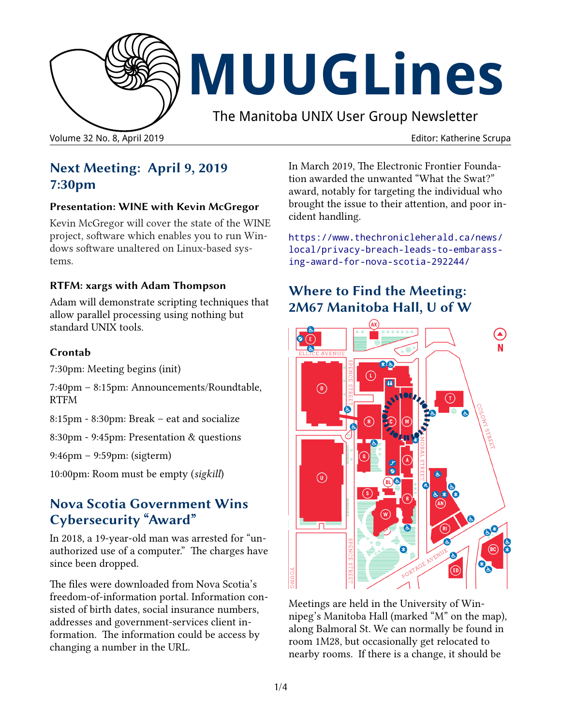

# **MUUGLines**

The Manitoba UNIX User Group Newsletter

Volume 32 No. 8, April 2019 **Editor: Katherine Scrupa** Editor: Katherine Scrupa

## **Next Meeting: April 9, 2019 7:30pm**

#### **Presentation: WINE with Kevin McGregor**

Kevin McGregor will cover the state of the WINE project, software which enables you to run Windows software unaltered on Linux-based systems.

#### **RTFM: xargs with Adam Thompson**

Adam will demonstrate scripting techniques that allow parallel processing using nothing but standard UNIX tools.

#### **Crontab**

7:30pm: Meeting begins (init)

7:40pm – 8:15pm: Announcements/Roundtable, RTFM

8:15pm - 8:30pm: Break – eat and socialize

8:30pm - 9:45pm: Presentation & questions

9:46pm – 9:59pm: (sigterm)

10:00pm: Room must be empty (*sigkill*)

#### **Nova Scotia Government Wins Cybersecurity "Award"**

In 2018, a 19-year-old man was arrested for "unauthorized use of a computer." The charges have since been dropped.

The files were downloaded from Nova Scotia's freedom-of-information portal. Information consisted of birth dates, social insurance numbers, addresses and government-services client information. The information could be access by changing a number in the URL.

In March 2019, The Electronic Frontier Foundation awarded the unwanted "What the Swat?" award, notably for targeting the individual who brought the issue to their attention, and poor incident handling.

https://www.thechronicleherald.ca/news/ local/privacy-breach-leads-to-embarassing-award-for-nova-scotia-292244/

#### **Where to Find the Meeting: 2M67 Manitoba Hall, U of W**



Meetings are held in the University of Winnipeg's Manitoba Hall (marked "M" on the map), along Balmoral St. We can normally be found in room 1M28, but occasionally get relocated to nearby rooms. If there is a change, it should be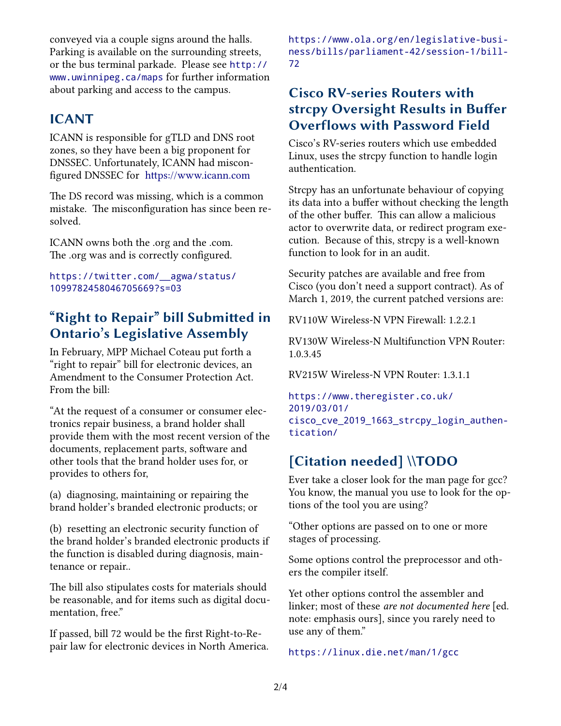conveyed via a couple signs around the halls. Parking is available on the surrounding streets, or the bus terminal parkade. Please see [http://](http://www.uwinnipeg.ca/maps) [www.uwinnipeg.ca/maps](http://www.uwinnipeg.ca/maps) for further information about parking and access to the campus.

#### **ICANT**

ICANN is responsible for gTLD and DNS root zones, so they have been a big proponent for DNSSEC. Unfortunately, ICANN had misconfigured DNSSEC for [https://www.icann.com](https://www.icann.org/)

The DS record was missing, which is a common mistake. The misconfiguration has since been resolved.

ICANN owns both the .org and the .com. The .org was and is correctly configured.

https://twitter.com/\_\_agwa/status/ 1099782458046705669?s=03

## **"Right to Repair" bill Submitted in Ontario's Legislative Assembly**

In February, MPP Michael Coteau put forth a "right to repair" bill for electronic devices, an Amendment to the Consumer Protection Act. From the bill:

"At the request of a consumer or consumer electronics repair business, a brand holder shall provide them with the most recent version of the documents, replacement parts, software and other tools that the brand holder uses for, or provides to others for,

(a) diagnosing, maintaining or repairing the brand holder's branded electronic products; or

(b) resetting an electronic security function of the brand holder's branded electronic products if the function is disabled during diagnosis, maintenance or repair..

The bill also stipulates costs for materials should be reasonable, and for items such as digital documentation, free."

If passed, bill 72 would be the first Right-to-Repair law for electronic devices in North America. [https://www.ola.org/en/legislative-busi](https://www.ola.org/en/legislative-business/bills/parliament-42/session-1/bill-72)[ness/bills/parliament-42/session-1/bill-](https://www.ola.org/en/legislative-business/bills/parliament-42/session-1/bill-72)[72](https://www.ola.org/en/legislative-business/bills/parliament-42/session-1/bill-72)

#### **Cisco RV-series Routers with strcpy Oversight Results in Buffer Overflows with Password Field**

Cisco's RV-series routers which use embedded Linux, uses the strcpy function to handle login authentication.

Strcpy has an unfortunate behaviour of copying its data into a buffer without checking the length of the other buffer. This can allow a malicious actor to overwrite data, or redirect program execution. Because of this, strcpy is a well-known function to look for in an audit.

Security patches are available and free from Cisco (you don't need a support contract). As of March 1, 2019, the current patched versions are:

RV110W Wireless-N VPN Firewall: 1.2.2.1

RV130W Wireless-N Multifunction VPN Router: 1.0.3.45

RV215W Wireless-N VPN Router: 1.3.1.1

[https://www.theregister.co.uk/](https://www.theregister.co.uk/2019/03/01/cisco_cve_2019_1663_strcpy_login_authentication/) 2019/03/01/ [cisco\\_cve\\_2019\\_1663\\_strcpy\\_login\\_authen](https://www.theregister.co.uk/2019/03/01/cisco_cve_2019_1663_strcpy_login_authentication/)[tication/](https://www.theregister.co.uk/2019/03/01/cisco_cve_2019_1663_strcpy_login_authentication/)

# **[Citation needed] \\TODO**

Ever take a closer look for the man page for gcc? You know, the manual you use to look for the options of the tool you are using?

"Other options are passed on to one or more stages of processing.

Some options control the preprocessor and others the compiler itself.

Yet other options control the assembler and linker; most of these *are not documented here* [ed. note: emphasis ours], since you rarely need to use any of them."

<https://linux.die.net/man/1/gcc>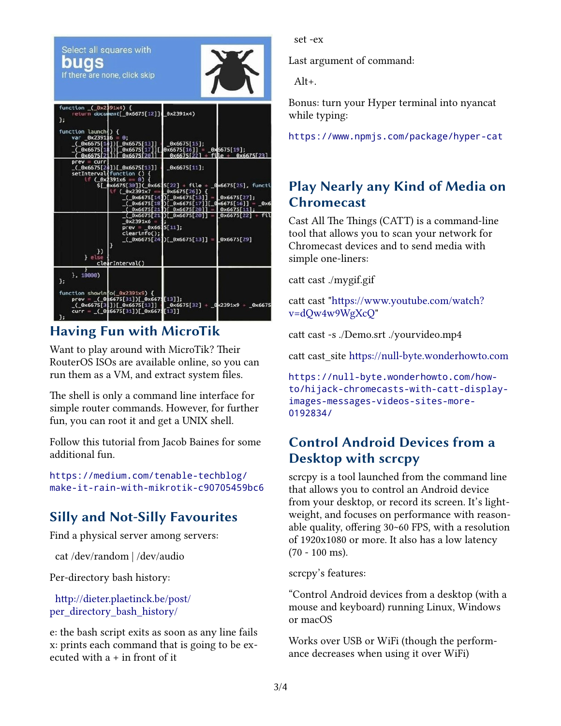

### **Having Fun with MicroTik**

Want to play around with MicroTik? Their RouterOS ISOs are available online, so you can run them as a VM, and extract system files.

The shell is only a command line interface for simple router commands. However, for further fun, you can root it and get a UNIX shell.

Follow this tutorial from Jacob Baines for some additional fun.

https://medium.com/tenable-techblog/ make-it-rain-with-mikrotik-c90705459bc6

# **Silly and Not-Silly Favourites**

Find a physical server among servers:

cat /dev/random | /dev/audio

Per-directory bash history:

 [http://dieter.plaetinck.be/post/](http://dieter.plaetinck.be/post/per_directory_bash_history/) [per\\_directory\\_bash\\_history/](http://dieter.plaetinck.be/post/per_directory_bash_history/)

e: the bash script exits as soon as any line fails x: prints each command that is going to be executed with a + in front of it

set -ex

Last argument of command:

Alt+.

Bonus: turn your Hyper terminal into nyancat while typing:

<https://www.npmjs.com/package/hyper-cat>

## **Play Nearly any Kind of Media on Chromecast**

Cast All The Things (CATT) is a command-line tool that allows you to scan your network for Chromecast devices and to send media with simple one-liners:

catt cast ./mygif.gif

catt cast ["https://www.youtube.com/watch?](https://www.youtube.com/watch?v=dQw4w9WgXcQ) [v=dQw4w9WgXcQ](https://www.youtube.com/watch?v=dQw4w9WgXcQ)"

catt cast -s ./Demo.srt ./yourvideo.mp4

catt cast site [https://null-byte.wonderhowto.com](https://null-byte.wonderhowto.com/)

[https://null-byte.wonderhowto.com/how](https://null-byte.wonderhowto.com/how-to/hijack-chromecasts-with-catt-display-images-messages-videos-sites-more-0192834/)[to/hijack-chromecasts-with-catt-display](https://null-byte.wonderhowto.com/how-to/hijack-chromecasts-with-catt-display-images-messages-videos-sites-more-0192834/)images-messages-videos-sites-more-[0192834/](https://null-byte.wonderhowto.com/how-to/hijack-chromecasts-with-catt-display-images-messages-videos-sites-more-0192834/)

## **Control Android Devices from a Desktop with scrcpy**

scrcpy is a tool launched from the command line that allows you to control an Android device from your desktop, or record its screen. It's lightweight, and focuses on performance with reasonable quality, offering 30~60 FPS, with a resolution of 1920x1080 or more. It also has a low latency (70 - 100 ms).

scrcpy's features:

"Control Android devices from a desktop (with a mouse and keyboard) running Linux, Windows or macOS

Works over USB or WiFi (though the performance decreases when using it over WiFi)